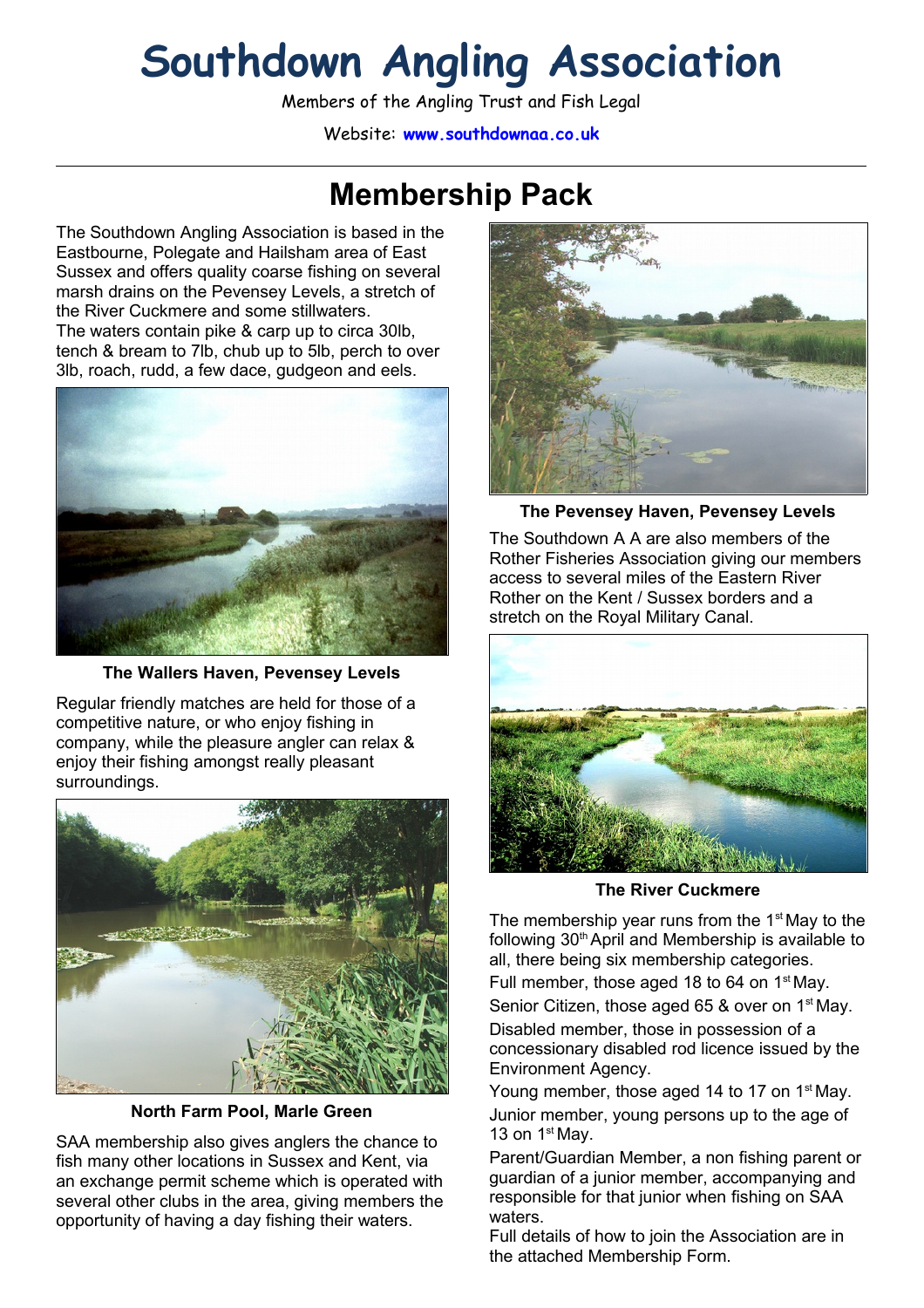# **Southdown Angling Association**

Members of the Angling Trust and Fish Legal

Website: **www.southdownaa.co.uk**

## **Membership Pack**

The Southdown Angling Association is based in the Eastbourne, Polegate and Hailsham area of East Sussex and offers quality coarse fishing on several marsh drains on the Pevensey Levels, a stretch of the River Cuckmere and some stillwaters. The waters contain pike & carp up to circa 30lb, tench & bream to 7lb, chub up to 5lb, perch to over 3lb, roach, rudd, a few dace, gudgeon and eels.



**The Wallers Haven, Pevensey Levels**

Regular friendly matches are held for those of a competitive nature, or who enjoy fishing in company, while the pleasure angler can relax & enjoy their fishing amongst really pleasant surroundings.



**North Farm Pool, Marle Green**

SAA membership also gives anglers the chance to fish many other locations in Sussex and Kent, via an exchange permit scheme which is operated with several other clubs in the area, giving members the opportunity of having a day fishing their waters.



**The Pevensey Haven, Pevensey Levels**

The Southdown A A are also members of the Rother Fisheries Association giving our members access to several miles of the Eastern River Rother on the Kent / Sussex borders and a stretch on the Royal Military Canal.



**The River Cuckmere**

The membership year runs from the  $1<sup>st</sup>$  May to the following 30<sup>th</sup> April and Membership is available to all, there being six membership categories.

Full member, those aged 18 to 64 on 1<sup>st</sup> May.

Senior Citizen, those aged 65 & over on  $1<sup>st</sup>$  May. Disabled member, those in possession of a concessionary disabled rod licence issued by the Environment Agency.

Young member, those aged 14 to 17 on 1<sup>st</sup> May. Junior member, young persons up to the age of 13 on  $1<sup>st</sup>$  Mav.

Parent/Guardian Member, a non fishing parent or guardian of a junior member, accompanying and responsible for that junior when fishing on SAA waters.

Full details of how to join the Association are in the attached Membership Form.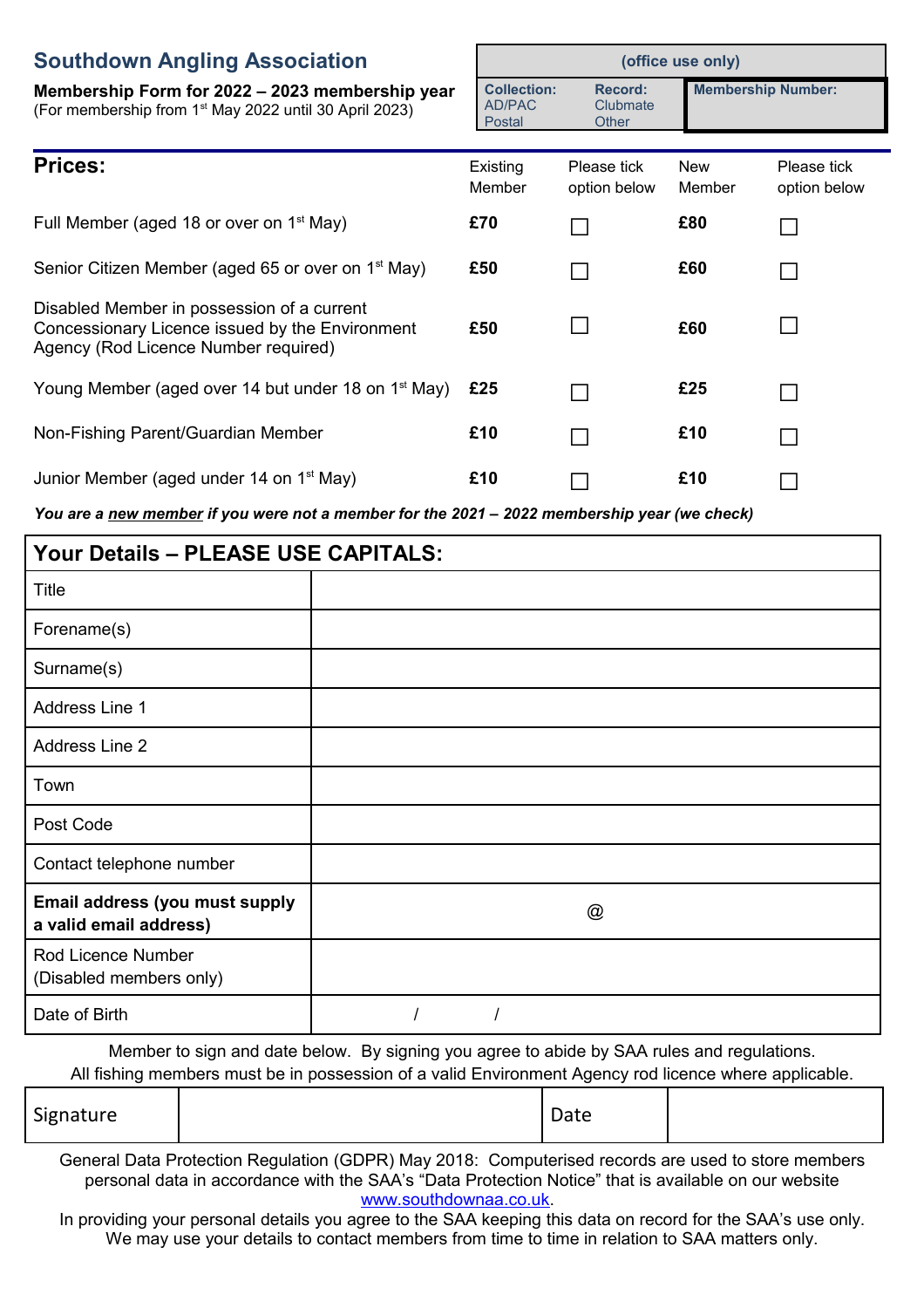#### **Southdow**

| <b>Southdown Angling Association</b>                                                                                                  |                                        | (office use only)                   |                           |                             |  |
|---------------------------------------------------------------------------------------------------------------------------------------|----------------------------------------|-------------------------------------|---------------------------|-----------------------------|--|
| Membership Form for 2022 – 2023 membership year<br>(For membership from 1 <sup>st</sup> May 2022 until 30 April 2023)                 | <b>Collection:</b><br>AD/PAC<br>Postal | <b>Record:</b><br>Clubmate<br>Other | <b>Membership Number:</b> |                             |  |
| <b>Prices:</b>                                                                                                                        | Existing<br>Member                     | Please tick<br>option below         | <b>New</b><br>Member      | Please tick<br>option below |  |
| Full Member (aged 18 or over on $1st$ May)                                                                                            | £70                                    |                                     | £80                       |                             |  |
| Senior Citizen Member (aged 65 or over on 1 <sup>st</sup> May)                                                                        | £50                                    |                                     | £60                       | $\mathbf{I}$                |  |
| Disabled Member in possession of a current<br>Concessionary Licence issued by the Environment<br>Agency (Rod Licence Number required) | £50                                    |                                     | £60                       | $\mathbf{I}$                |  |
| Young Member (aged over 14 but under 18 on 1 <sup>st</sup> May)                                                                       | £25                                    |                                     | £25                       | $\Box$                      |  |
| Non-Fishing Parent/Guardian Member                                                                                                    | £10                                    |                                     | £10                       | $\Box$                      |  |
| Junior Member (aged under 14 on 1 <sup>st</sup> May)                                                                                  | £10                                    |                                     | £10                       |                             |  |

*You are a new member if you were not a member for the 2021 – 2022 membership year (we check)*

| Your Details - PLEASE USE CAPITALS:                      |   |  |  |  |
|----------------------------------------------------------|---|--|--|--|
| <b>Title</b>                                             |   |  |  |  |
| Forename(s)                                              |   |  |  |  |
| Surname(s)                                               |   |  |  |  |
| Address Line 1                                           |   |  |  |  |
| Address Line 2                                           |   |  |  |  |
| Town                                                     |   |  |  |  |
| Post Code                                                |   |  |  |  |
| Contact telephone number                                 |   |  |  |  |
| Email address (you must supply<br>a valid email address) | @ |  |  |  |
| Rod Licence Number<br>(Disabled members only)            |   |  |  |  |
| Date of Birth                                            |   |  |  |  |

Member to sign and date below. By signing you agree to abide by SAA rules and regulations. All fishing members must be in possession of a valid Environment Agency rod licence where applicable.

| Signature |  | Date |  |
|-----------|--|------|--|
|-----------|--|------|--|

General Data Protection Regulation (GDPR) May 2018: Computerised records are used to store members personal data in accordance with the SAA's "Data Protection Notice" that is available on our website [www.southdownaa.co.uk.](http://www.southdownaa.co.uk/)

In providing your personal details you agree to the SAA keeping this data on record for the SAA's use only. We may use your details to contact members from time to time in relation to SAA matters only.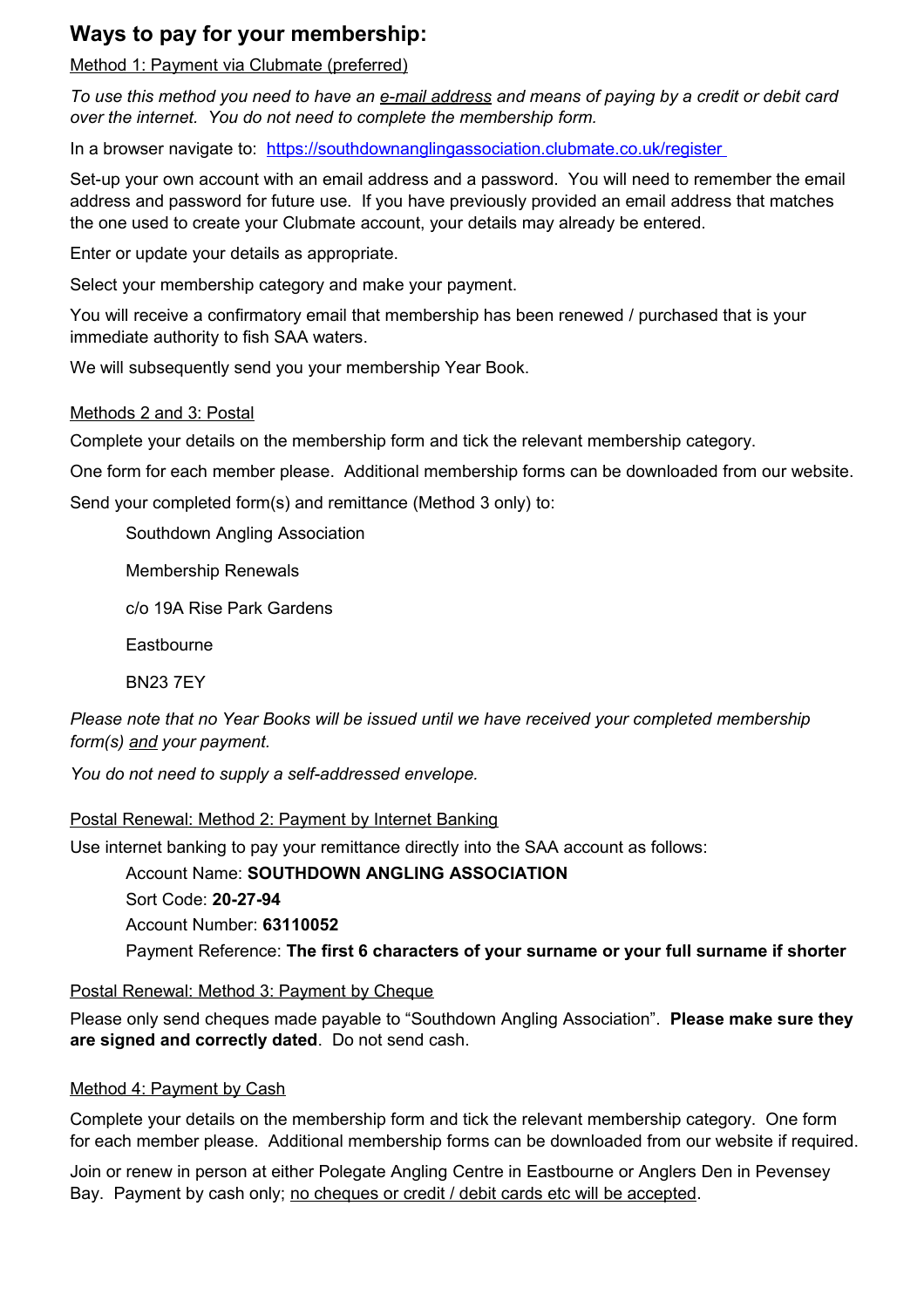#### **Ways to pay for your membership:**

Method 1: Payment via Clubmate (preferred)

*To use this method you need to have an e-mail address and means of paying by a credit or debit card over the internet. You do not need to complete the membership form.*

In a browser navigate to: <https://southdownanglingassociation.clubmate.co.uk/register>

Set-up your own account with an email address and a password. You will need to remember the email address and password for future use. If you have previously provided an email address that matches the one used to create your Clubmate account, your details may already be entered.

Enter or update your details as appropriate.

Select your membership category and make your payment.

You will receive a confirmatory email that membership has been renewed / purchased that is your immediate authority to fish SAA waters.

We will subsequently send you your membership Year Book.

#### Methods 2 and 3: Postal

Complete your details on the membership form and tick the relevant membership category.

One form for each member please. Additional membership forms can be downloaded from our website.

Send your completed form(s) and remittance (Method 3 only) to:

Southdown Angling Association

Membership Renewals

c/o 19A Rise Park Gardens

**Eastbourne** 

BN23 7EY

*Please note that no Year Books will be issued until we have received your completed membership form(s) and your payment.*

*You do not need to supply a self-addressed envelope.*

#### Postal Renewal: Method 2: Payment by Internet Banking

Use internet banking to pay your remittance directly into the SAA account as follows:

Account Name: **SOUTHDOWN ANGLING ASSOCIATION**

Sort Code: **20-27-94**

Account Number: **63110052**

Payment Reference: **The first 6 characters of your surname or your full surname if shorter**

#### Postal Renewal: Method 3: Payment by Cheque

Please only send cheques made payable to "Southdown Angling Association". **Please make sure they are signed and correctly dated**. Do not send cash.

#### Method 4: Payment by Cash

Complete your details on the membership form and tick the relevant membership category. One form for each member please. Additional membership forms can be downloaded from our website if required.

Join or renew in person at either Polegate Angling Centre in Eastbourne or Anglers Den in Pevensey Bay. Payment by cash only; no cheques or credit / debit cards etc will be accepted.